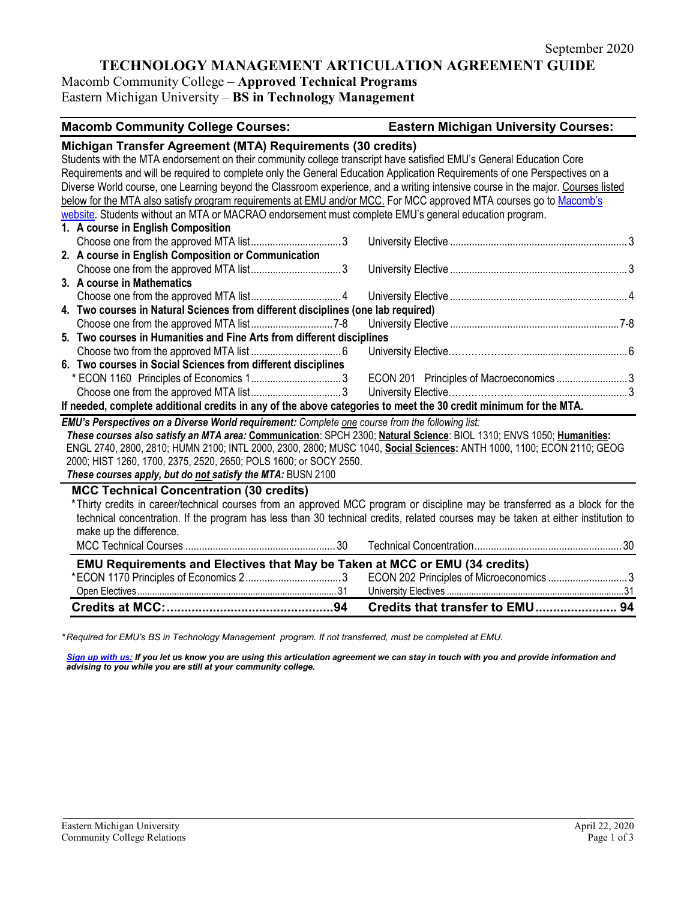# **TECHNOLOGY MANAGEMENT ARTICULATION AGREEMENT GUIDE**

Macomb Community College – **Approved Technical Programs** Eastern Michigan University – **BS in Technology Management**

| Michigan Transfer Agreement (MTA) Requirements (30 credits)<br>Students with the MTA endorsement on their community college transcript have satisfied EMU's General Education Core<br>Requirements and will be required to complete only the General Education Application Requirements of one Perspectives on a<br>Diverse World course, one Learning beyond the Classroom experience, and a writing intensive course in the major. Courses listed<br>below for the MTA also satisfy program requirements at EMU and/or MCC. For MCC approved MTA courses go to Macomb's<br>website. Students without an MTA or MACRAO endorsement must complete EMU's general education program.<br>1. A course in English Composition<br>2. A course in English Composition or Communication<br>3. A course in Mathematics<br>4. Two courses in Natural Sciences from different disciplines (one lab required)<br>5. Two courses in Humanities and Fine Arts from different disciplines<br>6. Two courses in Social Sciences from different disciplines<br>ECON 201 Principles of Macroeconomics 3<br>If needed, complete additional credits in any of the above categories to meet the 30 credit minimum for the MTA.<br><b>EMU's Perspectives on a Diverse World requirement:</b> Complete one course from the following list:<br>These courses also satisfy an MTA area: Communication: SPCH 2300; Natural Science: BIOL 1310; ENVS 1050; Humanities:<br>ENGL 2740, 2800, 2810; HUMN 2100; INTL 2000, 2300, 2800; MUSC 1040, Social Sciences: ANTH 1000, 1100; ECON 2110; GEOG<br>2000; HIST 1260, 1700, 2375, 2520, 2650; POLS 1600; or SOCY 2550.<br>These courses apply, but do not satisfy the MTA: BUSN 2100<br><b>MCC Technical Concentration (30 credits)</b><br>*Thirty credits in career/technical courses from an approved MCC program or discipline may be transferred as a block for the<br>technical concentration. If the program has less than 30 technical credits, related courses may be taken at either institution to<br>make up the difference.<br><b>EMU Requirements and Electives that May be Taken at MCC or EMU (34 credits)</b><br>ECON 202 Principles of Microeconomics 3 | <b>Macomb Community College Courses:</b> | <b>Eastern Michigan University Courses:</b> |  |
|---------------------------------------------------------------------------------------------------------------------------------------------------------------------------------------------------------------------------------------------------------------------------------------------------------------------------------------------------------------------------------------------------------------------------------------------------------------------------------------------------------------------------------------------------------------------------------------------------------------------------------------------------------------------------------------------------------------------------------------------------------------------------------------------------------------------------------------------------------------------------------------------------------------------------------------------------------------------------------------------------------------------------------------------------------------------------------------------------------------------------------------------------------------------------------------------------------------------------------------------------------------------------------------------------------------------------------------------------------------------------------------------------------------------------------------------------------------------------------------------------------------------------------------------------------------------------------------------------------------------------------------------------------------------------------------------------------------------------------------------------------------------------------------------------------------------------------------------------------------------------------------------------------------------------------------------------------------------------------------------------------------------------------------------------------------------------------------------------------------------------------------------------------------------------------------------|------------------------------------------|---------------------------------------------|--|
|                                                                                                                                                                                                                                                                                                                                                                                                                                                                                                                                                                                                                                                                                                                                                                                                                                                                                                                                                                                                                                                                                                                                                                                                                                                                                                                                                                                                                                                                                                                                                                                                                                                                                                                                                                                                                                                                                                                                                                                                                                                                                                                                                                                             |                                          |                                             |  |
|                                                                                                                                                                                                                                                                                                                                                                                                                                                                                                                                                                                                                                                                                                                                                                                                                                                                                                                                                                                                                                                                                                                                                                                                                                                                                                                                                                                                                                                                                                                                                                                                                                                                                                                                                                                                                                                                                                                                                                                                                                                                                                                                                                                             |                                          |                                             |  |
|                                                                                                                                                                                                                                                                                                                                                                                                                                                                                                                                                                                                                                                                                                                                                                                                                                                                                                                                                                                                                                                                                                                                                                                                                                                                                                                                                                                                                                                                                                                                                                                                                                                                                                                                                                                                                                                                                                                                                                                                                                                                                                                                                                                             |                                          |                                             |  |
|                                                                                                                                                                                                                                                                                                                                                                                                                                                                                                                                                                                                                                                                                                                                                                                                                                                                                                                                                                                                                                                                                                                                                                                                                                                                                                                                                                                                                                                                                                                                                                                                                                                                                                                                                                                                                                                                                                                                                                                                                                                                                                                                                                                             |                                          |                                             |  |
|                                                                                                                                                                                                                                                                                                                                                                                                                                                                                                                                                                                                                                                                                                                                                                                                                                                                                                                                                                                                                                                                                                                                                                                                                                                                                                                                                                                                                                                                                                                                                                                                                                                                                                                                                                                                                                                                                                                                                                                                                                                                                                                                                                                             |                                          |                                             |  |
|                                                                                                                                                                                                                                                                                                                                                                                                                                                                                                                                                                                                                                                                                                                                                                                                                                                                                                                                                                                                                                                                                                                                                                                                                                                                                                                                                                                                                                                                                                                                                                                                                                                                                                                                                                                                                                                                                                                                                                                                                                                                                                                                                                                             |                                          |                                             |  |
|                                                                                                                                                                                                                                                                                                                                                                                                                                                                                                                                                                                                                                                                                                                                                                                                                                                                                                                                                                                                                                                                                                                                                                                                                                                                                                                                                                                                                                                                                                                                                                                                                                                                                                                                                                                                                                                                                                                                                                                                                                                                                                                                                                                             |                                          |                                             |  |
|                                                                                                                                                                                                                                                                                                                                                                                                                                                                                                                                                                                                                                                                                                                                                                                                                                                                                                                                                                                                                                                                                                                                                                                                                                                                                                                                                                                                                                                                                                                                                                                                                                                                                                                                                                                                                                                                                                                                                                                                                                                                                                                                                                                             |                                          |                                             |  |
|                                                                                                                                                                                                                                                                                                                                                                                                                                                                                                                                                                                                                                                                                                                                                                                                                                                                                                                                                                                                                                                                                                                                                                                                                                                                                                                                                                                                                                                                                                                                                                                                                                                                                                                                                                                                                                                                                                                                                                                                                                                                                                                                                                                             |                                          |                                             |  |
|                                                                                                                                                                                                                                                                                                                                                                                                                                                                                                                                                                                                                                                                                                                                                                                                                                                                                                                                                                                                                                                                                                                                                                                                                                                                                                                                                                                                                                                                                                                                                                                                                                                                                                                                                                                                                                                                                                                                                                                                                                                                                                                                                                                             |                                          |                                             |  |
|                                                                                                                                                                                                                                                                                                                                                                                                                                                                                                                                                                                                                                                                                                                                                                                                                                                                                                                                                                                                                                                                                                                                                                                                                                                                                                                                                                                                                                                                                                                                                                                                                                                                                                                                                                                                                                                                                                                                                                                                                                                                                                                                                                                             |                                          |                                             |  |
|                                                                                                                                                                                                                                                                                                                                                                                                                                                                                                                                                                                                                                                                                                                                                                                                                                                                                                                                                                                                                                                                                                                                                                                                                                                                                                                                                                                                                                                                                                                                                                                                                                                                                                                                                                                                                                                                                                                                                                                                                                                                                                                                                                                             |                                          |                                             |  |
|                                                                                                                                                                                                                                                                                                                                                                                                                                                                                                                                                                                                                                                                                                                                                                                                                                                                                                                                                                                                                                                                                                                                                                                                                                                                                                                                                                                                                                                                                                                                                                                                                                                                                                                                                                                                                                                                                                                                                                                                                                                                                                                                                                                             |                                          |                                             |  |
|                                                                                                                                                                                                                                                                                                                                                                                                                                                                                                                                                                                                                                                                                                                                                                                                                                                                                                                                                                                                                                                                                                                                                                                                                                                                                                                                                                                                                                                                                                                                                                                                                                                                                                                                                                                                                                                                                                                                                                                                                                                                                                                                                                                             |                                          |                                             |  |
|                                                                                                                                                                                                                                                                                                                                                                                                                                                                                                                                                                                                                                                                                                                                                                                                                                                                                                                                                                                                                                                                                                                                                                                                                                                                                                                                                                                                                                                                                                                                                                                                                                                                                                                                                                                                                                                                                                                                                                                                                                                                                                                                                                                             |                                          |                                             |  |
|                                                                                                                                                                                                                                                                                                                                                                                                                                                                                                                                                                                                                                                                                                                                                                                                                                                                                                                                                                                                                                                                                                                                                                                                                                                                                                                                                                                                                                                                                                                                                                                                                                                                                                                                                                                                                                                                                                                                                                                                                                                                                                                                                                                             |                                          |                                             |  |
|                                                                                                                                                                                                                                                                                                                                                                                                                                                                                                                                                                                                                                                                                                                                                                                                                                                                                                                                                                                                                                                                                                                                                                                                                                                                                                                                                                                                                                                                                                                                                                                                                                                                                                                                                                                                                                                                                                                                                                                                                                                                                                                                                                                             |                                          |                                             |  |
|                                                                                                                                                                                                                                                                                                                                                                                                                                                                                                                                                                                                                                                                                                                                                                                                                                                                                                                                                                                                                                                                                                                                                                                                                                                                                                                                                                                                                                                                                                                                                                                                                                                                                                                                                                                                                                                                                                                                                                                                                                                                                                                                                                                             |                                          |                                             |  |
|                                                                                                                                                                                                                                                                                                                                                                                                                                                                                                                                                                                                                                                                                                                                                                                                                                                                                                                                                                                                                                                                                                                                                                                                                                                                                                                                                                                                                                                                                                                                                                                                                                                                                                                                                                                                                                                                                                                                                                                                                                                                                                                                                                                             |                                          |                                             |  |
|                                                                                                                                                                                                                                                                                                                                                                                                                                                                                                                                                                                                                                                                                                                                                                                                                                                                                                                                                                                                                                                                                                                                                                                                                                                                                                                                                                                                                                                                                                                                                                                                                                                                                                                                                                                                                                                                                                                                                                                                                                                                                                                                                                                             |                                          |                                             |  |
|                                                                                                                                                                                                                                                                                                                                                                                                                                                                                                                                                                                                                                                                                                                                                                                                                                                                                                                                                                                                                                                                                                                                                                                                                                                                                                                                                                                                                                                                                                                                                                                                                                                                                                                                                                                                                                                                                                                                                                                                                                                                                                                                                                                             |                                          |                                             |  |
|                                                                                                                                                                                                                                                                                                                                                                                                                                                                                                                                                                                                                                                                                                                                                                                                                                                                                                                                                                                                                                                                                                                                                                                                                                                                                                                                                                                                                                                                                                                                                                                                                                                                                                                                                                                                                                                                                                                                                                                                                                                                                                                                                                                             |                                          |                                             |  |
|                                                                                                                                                                                                                                                                                                                                                                                                                                                                                                                                                                                                                                                                                                                                                                                                                                                                                                                                                                                                                                                                                                                                                                                                                                                                                                                                                                                                                                                                                                                                                                                                                                                                                                                                                                                                                                                                                                                                                                                                                                                                                                                                                                                             |                                          |                                             |  |
|                                                                                                                                                                                                                                                                                                                                                                                                                                                                                                                                                                                                                                                                                                                                                                                                                                                                                                                                                                                                                                                                                                                                                                                                                                                                                                                                                                                                                                                                                                                                                                                                                                                                                                                                                                                                                                                                                                                                                                                                                                                                                                                                                                                             |                                          |                                             |  |
|                                                                                                                                                                                                                                                                                                                                                                                                                                                                                                                                                                                                                                                                                                                                                                                                                                                                                                                                                                                                                                                                                                                                                                                                                                                                                                                                                                                                                                                                                                                                                                                                                                                                                                                                                                                                                                                                                                                                                                                                                                                                                                                                                                                             |                                          |                                             |  |
|                                                                                                                                                                                                                                                                                                                                                                                                                                                                                                                                                                                                                                                                                                                                                                                                                                                                                                                                                                                                                                                                                                                                                                                                                                                                                                                                                                                                                                                                                                                                                                                                                                                                                                                                                                                                                                                                                                                                                                                                                                                                                                                                                                                             |                                          |                                             |  |
|                                                                                                                                                                                                                                                                                                                                                                                                                                                                                                                                                                                                                                                                                                                                                                                                                                                                                                                                                                                                                                                                                                                                                                                                                                                                                                                                                                                                                                                                                                                                                                                                                                                                                                                                                                                                                                                                                                                                                                                                                                                                                                                                                                                             |                                          |                                             |  |
|                                                                                                                                                                                                                                                                                                                                                                                                                                                                                                                                                                                                                                                                                                                                                                                                                                                                                                                                                                                                                                                                                                                                                                                                                                                                                                                                                                                                                                                                                                                                                                                                                                                                                                                                                                                                                                                                                                                                                                                                                                                                                                                                                                                             |                                          |                                             |  |
|                                                                                                                                                                                                                                                                                                                                                                                                                                                                                                                                                                                                                                                                                                                                                                                                                                                                                                                                                                                                                                                                                                                                                                                                                                                                                                                                                                                                                                                                                                                                                                                                                                                                                                                                                                                                                                                                                                                                                                                                                                                                                                                                                                                             |                                          |                                             |  |
|                                                                                                                                                                                                                                                                                                                                                                                                                                                                                                                                                                                                                                                                                                                                                                                                                                                                                                                                                                                                                                                                                                                                                                                                                                                                                                                                                                                                                                                                                                                                                                                                                                                                                                                                                                                                                                                                                                                                                                                                                                                                                                                                                                                             |                                          |                                             |  |
|                                                                                                                                                                                                                                                                                                                                                                                                                                                                                                                                                                                                                                                                                                                                                                                                                                                                                                                                                                                                                                                                                                                                                                                                                                                                                                                                                                                                                                                                                                                                                                                                                                                                                                                                                                                                                                                                                                                                                                                                                                                                                                                                                                                             |                                          |                                             |  |
|                                                                                                                                                                                                                                                                                                                                                                                                                                                                                                                                                                                                                                                                                                                                                                                                                                                                                                                                                                                                                                                                                                                                                                                                                                                                                                                                                                                                                                                                                                                                                                                                                                                                                                                                                                                                                                                                                                                                                                                                                                                                                                                                                                                             |                                          |                                             |  |
|                                                                                                                                                                                                                                                                                                                                                                                                                                                                                                                                                                                                                                                                                                                                                                                                                                                                                                                                                                                                                                                                                                                                                                                                                                                                                                                                                                                                                                                                                                                                                                                                                                                                                                                                                                                                                                                                                                                                                                                                                                                                                                                                                                                             |                                          |                                             |  |
|                                                                                                                                                                                                                                                                                                                                                                                                                                                                                                                                                                                                                                                                                                                                                                                                                                                                                                                                                                                                                                                                                                                                                                                                                                                                                                                                                                                                                                                                                                                                                                                                                                                                                                                                                                                                                                                                                                                                                                                                                                                                                                                                                                                             |                                          |                                             |  |

*\* Required for EMU's BS in Technology Management program. If not transferred, must be completed at EMU.* 

*[Sign up with us:](https://www.emich.edu/ccr/articulation-agreements/signup.php) If you let us know you are using this articulation agreement we can stay in touch with you and provide information and advising to you while you are still at your community college.*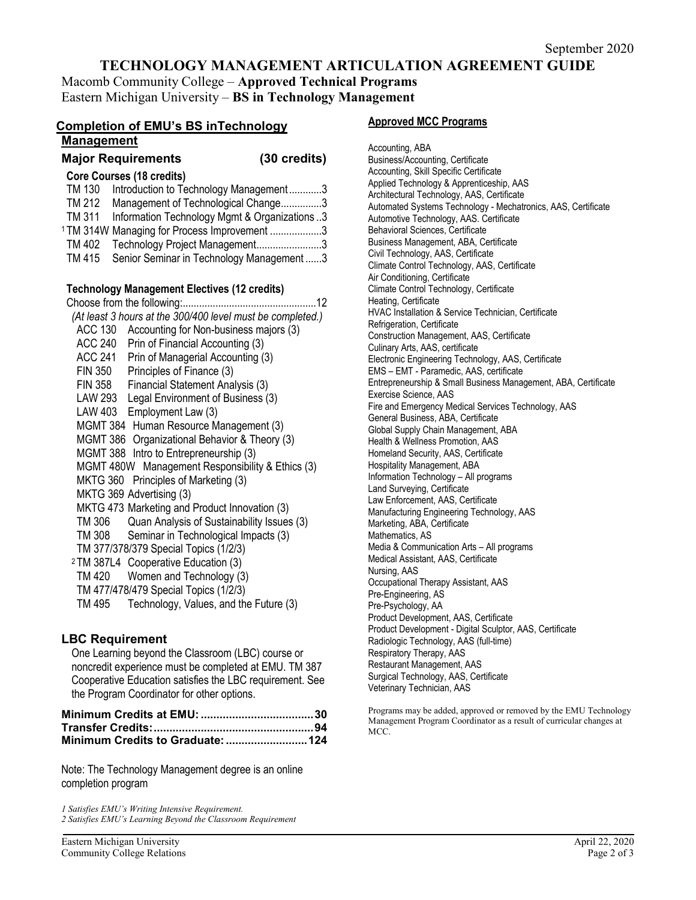## **TECHNOLOGY MANAGEMENT ARTICULATION AGREEMENT GUIDE**

Macomb Community College – **Approved Technical Programs** Eastern Michigan University – **BS in Technology Management**

| <b>Completion of EMU's BS inTechnology</b>                                              |              |  |
|-----------------------------------------------------------------------------------------|--------------|--|
| <b>Management</b>                                                                       |              |  |
| <b>Major Requirements</b>                                                               | (30 credits) |  |
| <b>Core Courses (18 credits)</b>                                                        |              |  |
| TM 130<br>Introduction to Technology Management3                                        |              |  |
| Management of Technological Change3<br>TM 212                                           |              |  |
| Information Technology Mgmt & Organizations 3<br>TM 311                                 |              |  |
| <sup>1</sup> TM 314W Managing for Process Improvement 3                                 |              |  |
| Technology Project Management3<br>TM 402                                                |              |  |
| TM 415<br>Senior Seminar in Technology Management3                                      |              |  |
| <b>Technology Management Electives (12 credits)</b>                                     |              |  |
| Choose from the following:                                                              | . 12         |  |
| (At least 3 hours at the 300/400 level must be completed.)                              |              |  |
| <b>ACC 130</b><br>Accounting for Non-business majors (3)                                |              |  |
| <b>ACC 240</b><br>Prin of Financial Accounting (3)                                      |              |  |
| ACC 241 Prin of Managerial Accounting (3)                                               |              |  |
| FIN 350 Principles of Finance (3)                                                       |              |  |
| FIN 358 Financial Statement Analysis (3)                                                |              |  |
| LAW 293 Legal Environment of Business (3)                                               |              |  |
| LAW 403 Employment Law (3)                                                              |              |  |
| MGMT 384 Human Resource Management (3)                                                  |              |  |
| MGMT 386 Organizational Behavior & Theory (3)                                           |              |  |
| MGMT 388 Intro to Entrepreneurship (3)                                                  |              |  |
| MGMT 480W Management Responsibility & Ethics (3)                                        |              |  |
| Principles of Marketing (3)<br><b>MKTG 360</b>                                          |              |  |
| MKTG 369 Advertising (3)                                                                |              |  |
| MKTG 473 Marketing and Product Innovation (3)                                           |              |  |
| Quan Analysis of Sustainability Issues (3)<br>TM 306                                    |              |  |
| Seminar in Technological Impacts (3)<br>TM 308<br>TM 377/378/379 Special Topics (1/2/3) |              |  |
| <sup>2</sup> TM 387L4 Cooperative Education (3)                                         |              |  |
| Women and Technology (3)<br>TM 420                                                      |              |  |
| TM 477/478/479 Special Topics (1/2/3)                                                   |              |  |
| Technology, Values, and the Future (3)<br>TM 495                                        |              |  |
|                                                                                         |              |  |
|                                                                                         |              |  |

#### **LBC Requirement**

One Learning beyond the Classroom (LBC) course or noncredit experience must be completed at EMU. TM 387 Cooperative Education satisfies the LBC requirement. See the Program Coordinator for other options.

| Minimum Credits to Graduate:  124 |
|-----------------------------------|

Note: The Technology Management degree is an online completion program

*1 Satisfies EMU's Writing Intensive Requirement. 2 Satisfies EMU's Learning Beyond the Classroom Requirement*

Accounting, ABA Business/Accounting, Certificate Accounting, Skill Specific Certificate Applied Technology & Apprenticeship, AAS Architectural Technology, AAS, Certificate Automated Systems Technology - Mechatronics, AAS, Certificate Automotive Technology, AAS. Certificate Behavioral Sciences, Certificate Business Management, ABA, Certificate Civil Technology, AAS, Certificate Climate Control Technology, AAS, Certificate Air Conditioning, Certificate Climate Control Technology, Certificate Heating, Certificate HVAC Installation & Service Technician, Certificate Refrigeration, Certificate Construction Management, AAS, Certificate Culinary Arts, AAS, certificate Electronic Engineering Technology, AAS, Certificate EMS – EMT - Paramedic, AAS, certificate Entrepreneurship & Small Business Management, ABA, Certificate Exercise Science, AAS Fire and Emergency Medical Services Technology, AAS General Business, ABA, Certificate Global Supply Chain Management, ABA Health & Wellness Promotion, AAS Homeland Security, AAS, Certificate Hospitality Management, ABA Information Technology – All programs Land Surveying, Certificate Law Enforcement, AAS, Certificate Manufacturing Engineering Technology, AAS Marketing, ABA, Certificate Mathematics, AS Media & Communication Arts – All programs Medical Assistant, AAS, Certificate Nursing, AAS Occupational Therapy Assistant, AAS Pre-Engineering, AS Pre-Psychology, AA Product Development, AAS, Certificate Product Development - Digital Sculptor, AAS, Certificate Radiologic Technology, AAS (full-time) Respiratory Therapy, AAS Restaurant Management, AAS Surgical Technology, AAS, Certificate Veterinary Technician, AAS

Programs may be added, approved or removed by the EMU Technology Management Program Coordinator as a result of curricular changes at MCC.